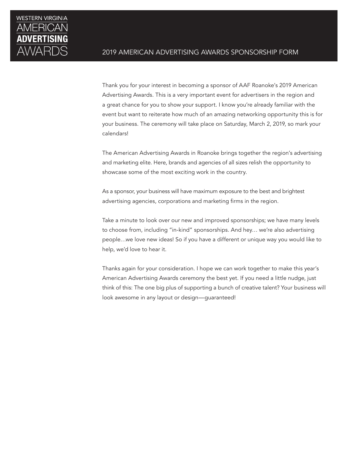

Thank you for your interest in becoming a sponsor of AAF Roanoke's 2019 American Advertising Awards. This is a very important event for advertisers in the region and a great chance for you to show your support. I know you're already familiar with the event but want to reiterate how much of an amazing networking opportunity this is for your business. The ceremony will take place on Saturday, March 2, 2019, so mark your calendars!

The American Advertising Awards in Roanoke brings together the region's advertising and marketing elite. Here, brands and agencies of all sizes relish the opportunity to showcase some of the most exciting work in the country.

As a sponsor, your business will have maximum exposure to the best and brightest advertising agencies, corporations and marketing firms in the region.

Take a minute to look over our new and improved sponsorships; we have many levels to choose from, including "in-kind" sponsorships. And hey… we're also advertising people…we love new ideas! So if you have a different or unique way you would like to help, we'd love to hear it.

Thanks again for your consideration. I hope we can work together to make this year's American Advertising Awards ceremony the best yet. If you need a little nudge, just think of this: The one big plus of supporting a bunch of creative talent? Your business will look awesome in any layout or design—guaranteed!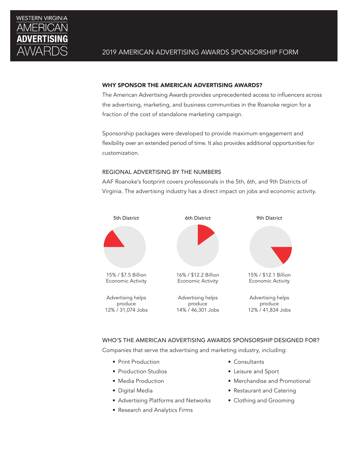

### WHY SPONSOR THE AMERICAN ADVERTISING AWARDS?

The American Advertising Awards provides unprecedented access to influencers across the advertising, marketing, and business communities in the Roanoke region for a fraction of the cost of standalone marketing campaign.

Sponsorship packages were developed to provide maximum engagement and flexibility over an extended period of time. It also provides additional opportunities for customization.

# REGIONAL ADVERTISING BY THE NUMBERS

AAF Roanoke's footprint covers professionals in the 5th, 6th, and 9th Districts of Virginia. The advertising industry has a direct impact on jobs and economic activity.



# WHO'S THE AMERICAN ADVERTISING AWARDS SPONSORSHIP DESIGNED FOR?

Companies that serve the advertising and marketing industry, including:

- Print Production
- Production Studios
- Media Production
- Digital Media
- Advertising Platforms and Networks
- Research and Analytics Firms
- Consultants
- Leisure and Sport
- Merchandise and Promotional
- Restaurant and Catering
- Clothing and Grooming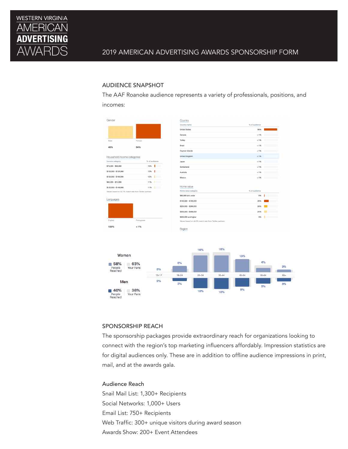

# AUDIENCE SNAPSHOT

The AAF Roanoke audience represents a variety of professionals, positions, and incomes:



# SPONSORSHIP REACH

The sponsorship packages provide extraordinary reach for organizations looking to connect with the region's top marketing influencers affordably. Impression statistics are for digital audiences only. These are in addition to offline audience impressions in print, mail, and at the awards gala.

# Audience Reach

Snail Mail List: 1,300+ Recipients Social Networks: 1,000+ Users Email List: 750+ Recipients Web Traffic: 300+ unique visitors during award season Awards Show: 200+ Event Attendees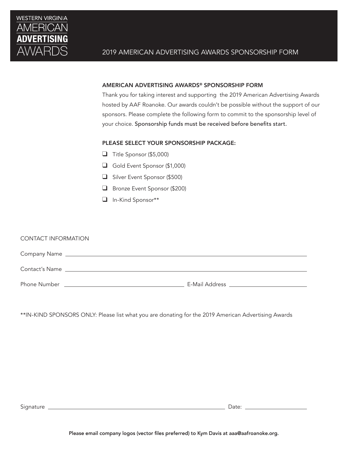

# AMERICAN ADVERTISING AWARDS® SPONSORSHIP FORM

Thank you for taking interest and supporting the 2019 American Advertising Awards hosted by AAF Roanoke. Our awards couldn't be possible without the support of our sponsors. Please complete the following form to commit to the sponsorship level of your choice. Sponsorship funds must be received before benefits start.

# PLEASE SELECT YOUR SPONSORSHIP PACKAGE:

- ❑ Title Sponsor (\$5,000)
- ❑ Gold Event Sponsor (\$1,000)
- ❑ Silver Event Sponsor (\$500)
- ❑ Bronze Event Sponsor (\$200)
- ❑ In-Kind Sponsor\*\*

# CONTACT INFORMATION Company Name Contact's Name Phone Number E-Mail Address

\*\*IN-KIND SPONSORS ONLY: Please list what you are donating for the 2019 American Advertising Awards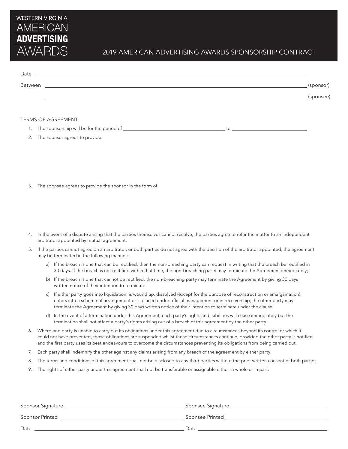

# 2019 AMERICAN ADVERTISING AWARDS SPONSORSHIP CONTRACT

| Date    |           |
|---------|-----------|
| Between | (sponsor) |
|         | (sponsee) |
|         |           |

#### TERMS OF AGREEMENT:

1. The sponsorship will be for the period of to

- 2. The sponsor agrees to provide:
- 3. The sponsee agrees to provide the sponsor in the form of:
- 4. In the event of a dispute arising that the parties themselves cannot resolve, the parties agree to refer the matter to an independent arbitrator appointed by mutual agreement.
- 5. If the parties cannot agree on an arbitrator, or both parties do not agree with the decision of the arbitrator appointed, the agreement may be terminated in the following manner:
	- a) If the breach is one that can be rectified, then the non-breaching party can request in writing that the breach be rectified in 30 days. If the breach is not rectified within that time, the non-breaching party may terminate the Agreement immediately;
	- b) If the breach is one that cannot be rectified, the non-breaching party may terminate the Agreement by giving 30 days written notice of their intention to terminate.
	- c) If either party goes into liquidation, is wound up, dissolved (except for the purpose of reconstruction or amalgamation), enters into a scheme of arrangement or is placed under official management or in receivership, the other party may terminate the Agreement by giving 30 days written notice of their intention to terminate under the clause.
	- d) In the event of a termination under this Agreement, each party's rights and liabilities will cease immediately but the termination shall not affect a party's rights arising out of a breach of this agreement by the other party.
- 6. Where one party is unable to carry out its obligations under this agreement due to circumstances beyond its control or which it could not have prevented, those obligations are suspended whilst those circumstances continue, provided the other party is notified and the first party uses its best endeavours to overcome the circumstances preventing its obligations from being carried out.
- 7. Each party shall indemnify the other against any claims arising from any breach of the agreement by either party.
- 8. The terms and conditions of this agreement shall not be disclosed to any third parties without the prior written consent of both parties.
- 9. The rights of either party under this agreement shall not be transferable or assignable either in whole or in part.

| Sponsor Signature      | Sponsee Signature |
|------------------------|-------------------|
| <b>Sponsor Printed</b> | Sponsee Printed   |
| Date                   | Date              |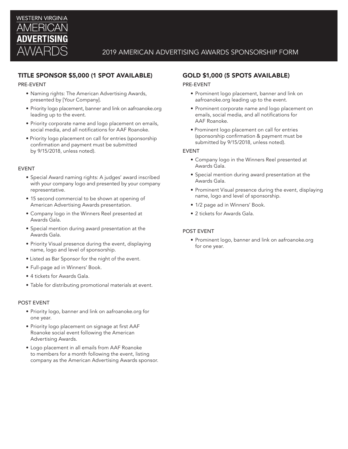

# TITLE SPONSOR \$5,000 (1 SPOT AVAILABLE)

#### PRE-EVENT

- Naming rights: The American Advertising Awards, presented by [Your Company].
- Priority logo placement, banner and link on aafroanoke.org leading up to the event.
- Priority corporate name and logo placement on emails, social media, and all notifications for AAF Roanoke.
- Priority logo placement on call for entries (sponsorship confirmation and payment must be submitted by 9/15/2018, unless noted).

#### EVENT

- Special Award naming rights: A judges' award inscribed with your company logo and presented by your company representative.
- 15 second commercial to be shown at opening of American Advertising Awards presentation.
- Company logo in the Winners Reel presented at Awards Gala.
- Special mention during award presentation at the Awards Gala.
- Priority Visual presence during the event, displaying name, logo and level of sponsorship.
- Listed as Bar Sponsor for the night of the event.
- Full-page ad in Winners' Book.
- 4 tickets for Awards Gala.
- Table for distributing promotional materials at event.

#### POST EVENT

- Priority logo, banner and link on aafroanoke.org for one year.
- Priority logo placement on signage at first AAF Roanoke social event following the American Advertising Awards.
- Logo placement in all emails from AAF Roanoke to members for a month following the event, listing company as the American Advertising Awards sponsor.

# GOLD \$1,000 (5 SPOTS AVAILABLE)

#### PRE-EVENT

- Prominent logo placement, banner and link on aafroanoke.org leading up to the event.
- Prominent corporate name and logo placement on emails, social media, and all notifications for AAF Roanoke.
- Prominent logo placement on call for entries (sponsorship confirmation & payment must be submitted by 9/15/2018, unless noted).

#### EVENT

- Company logo in the Winners Reel presented at Awards Gala.
- Special mention during award presentation at the Awards Gala.
- Prominent Visual presence during the event, displaying name, logo and level of sponsorship.
- 1/2 page ad in Winners' Book.
- 2 tickets for Awards Gala.

#### POST EVENT

• Prominent logo, banner and link on aafroanoke.org for one year.